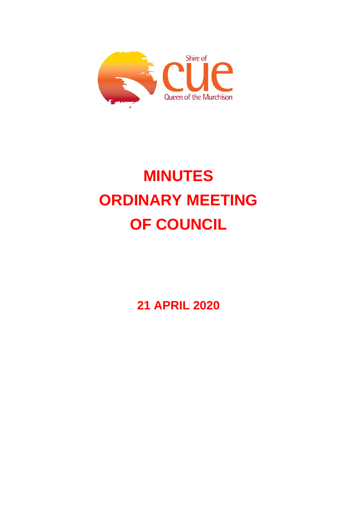

# **MINUTES ORDINARY MEETING OF COUNCIL**

**21 APRIL 2020**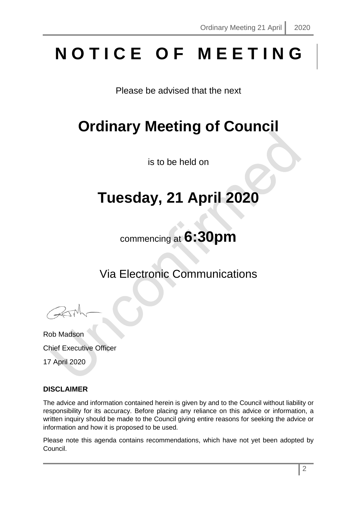# **N O T I C E O F M E E T I N G**

Please be advised that the next

# **Ordinary Meeting of Council**

is to be held on

# **Tuesday, 21 April 2020**

commencing at **6:30pm**

Via Electronic Communications

Rob Madson Chief Executive Officer

17 April 2020

# **DISCLAIMER**

The advice and information contained herein is given by and to the Council without liability or responsibility for its accuracy. Before placing any reliance on this advice or information, a written inquiry should be made to the Council giving entire reasons for seeking the advice or information and how it is proposed to be used.

Please note this agenda contains recommendations, which have not yet been adopted by Council.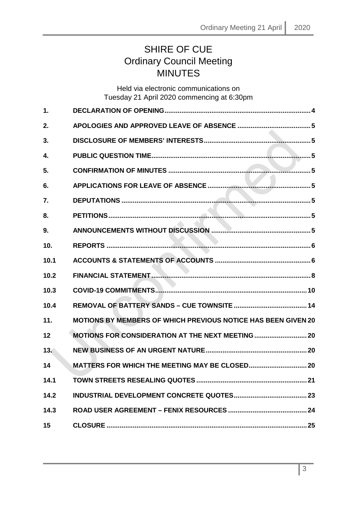# SHIRE OF CUE Ordinary Council Meeting MINUTES

# Held via electronic communications on Tuesday 21 April 2020 commencing at 6:30pm

| 1.   |                                                                      |
|------|----------------------------------------------------------------------|
| 2.   |                                                                      |
| 3.   |                                                                      |
| 4.   |                                                                      |
| 5.   |                                                                      |
| 6.   |                                                                      |
| 7.   |                                                                      |
| 8.   |                                                                      |
| 9.   |                                                                      |
| 10.  |                                                                      |
| 10.1 |                                                                      |
| 10.2 |                                                                      |
| 10.3 |                                                                      |
| 10.4 |                                                                      |
| 11.  | <b>MOTIONS BY MEMBERS OF WHICH PREVIOUS NOTICE HAS BEEN GIVEN 20</b> |
| 12   | <b>MOTIONS FOR CONSIDERATION AT THE NEXT MEETING  20</b>             |
| 13.  |                                                                      |
| 14   |                                                                      |
| 14.1 |                                                                      |
| 14.2 |                                                                      |
| 14.3 |                                                                      |
| 15   |                                                                      |
|      |                                                                      |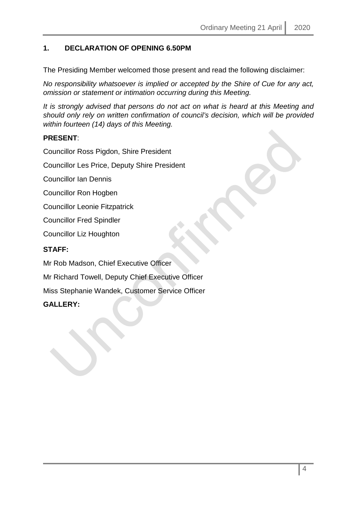# <span id="page-3-0"></span>**1. DECLARATION OF OPENING 6.50PM**

The Presiding Member welcomed those present and read the following disclaimer:

*No responsibility whatsoever is implied or accepted by the Shire of Cue for any act, omission or statement or intimation occurring during this Meeting.*

*It is strongly advised that persons do not act on what is heard at this Meeting and should only rely on written confirmation of council's decision, which will be provided within fourteen (14) days of this Meeting.*

# **PRESENT**:

Councillor Ross Pigdon, Shire President

Councillor Les Price, Deputy Shire President

Councillor Ian Dennis

Councillor Ron Hogben

Councillor Leonie Fitzpatrick

Councillor Fred Spindler

Councillor Liz Houghton

# **STAFF:**

Mr Rob Madson, Chief Executive Officer

Mr Richard Towell, Deputy Chief Executive Officer

Miss Stephanie Wandek, Customer Service Officer

#### **GALLERY:**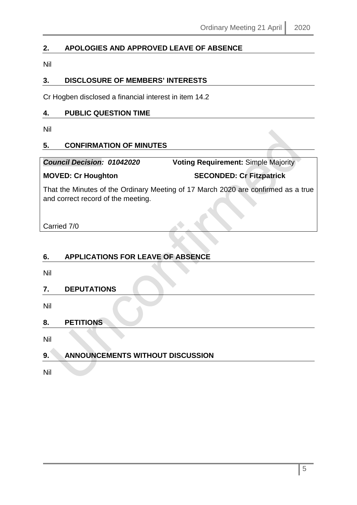# <span id="page-4-0"></span>**2. APOLOGIES AND APPROVED LEAVE OF ABSENCE**

Nil

# <span id="page-4-1"></span>**3. DISCLOSURE OF MEMBERS' INTERESTS**

Cr Hogben disclosed a financial interest in item 14.2

### <span id="page-4-2"></span>**4. PUBLIC QUESTION TIME**

Nil

# <span id="page-4-3"></span>**5. CONFIRMATION OF MINUTES**

*Council Decision: 01042020* **Voting Requirement:** Simple Majority

# **MOVED: Cr Houghton SECONDED: Cr Fitzpatrick**

That the Minutes of the Ordinary Meeting of 17 March 2020 are confirmed as a true and correct record of the meeting.

Carried 7/0

# <span id="page-4-4"></span>**6. APPLICATIONS FOR LEAVE OF ABSENCE**

Nil

# <span id="page-4-5"></span>**7. DEPUTATIONS**

Nil

# <span id="page-4-6"></span>**8. PETITIONS**

Nil

# <span id="page-4-7"></span>**9. ANNOUNCEMENTS WITHOUT DISCUSSION**

Nil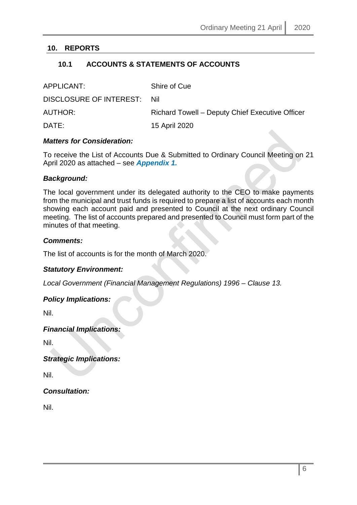# <span id="page-5-1"></span><span id="page-5-0"></span>**10. REPORTS**

# **10.1 ACCOUNTS & STATEMENTS OF ACCOUNTS**

| APPLICANT:                  | Shire of Cue                                    |
|-----------------------------|-------------------------------------------------|
| DISCLOSURE OF INTEREST: Nil |                                                 |
| <b>AUTHOR:</b>              | Richard Towell – Deputy Chief Executive Officer |
| DATE:                       | 15 April 2020                                   |

#### *Matters for Consideration:*

To receive the List of Accounts Due & Submitted to Ordinary Council Meeting on 21 April 2020 as attached – see *Appendix 1.*

#### *Background:*

The local government under its delegated authority to the CEO to make payments from the municipal and trust funds is required to prepare a list of accounts each month showing each account paid and presented to Council at the next ordinary Council meeting. The list of accounts prepared and presented to Council must form part of the minutes of that meeting.

#### *Comments:*

The list of accounts is for the month of March 2020.

#### *Statutory Environment:*

*Local Government (Financial Management Regulations) 1996 – Clause 13.*

#### *Policy Implications:*

Nil.

#### *Financial Implications:*

Nil.

*Strategic Implications:*

Nil.

#### *Consultation:*

Nil.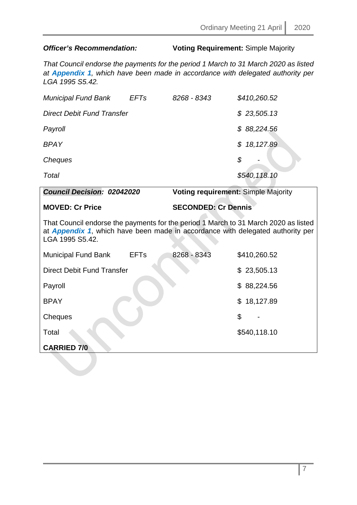# *Officer's Recommendation:* **Voting Requirement:** Simple Majority

*That Council endorse the payments for the period 1 March to 31 March 2020 as listed at Appendix 1, which have been made in accordance with delegated authority per LGA 1995 S5.42.*

| <b>Municipal Fund Bank</b>                                                                                                                                                                       | <b>EFTs</b> | 8268 - 8343                | \$410,260.52                        |
|--------------------------------------------------------------------------------------------------------------------------------------------------------------------------------------------------|-------------|----------------------------|-------------------------------------|
| <b>Direct Debit Fund Transfer</b>                                                                                                                                                                |             |                            | \$23,505.13                         |
| Payroll                                                                                                                                                                                          |             |                            | \$88,224.56                         |
| <b>BPAY</b>                                                                                                                                                                                      |             |                            | 18, 127.89<br>\$                    |
| Cheques                                                                                                                                                                                          |             |                            | \$                                  |
| Total                                                                                                                                                                                            |             |                            | \$540,118.10                        |
| <b>Council Decision: 02042020</b>                                                                                                                                                                |             |                            | Voting requirement: Simple Majority |
| <b>MOVED: Cr Price</b>                                                                                                                                                                           |             | <b>SECONDED: Cr Dennis</b> |                                     |
|                                                                                                                                                                                                  |             |                            |                                     |
| That Council endorse the payments for the period 1 March to 31 March 2020 as listed<br>at <b>Appendix 1</b> , which have been made in accordance with delegated authority per<br>LGA 1995 S5.42. |             |                            |                                     |
| <b>Municipal Fund Bank</b>                                                                                                                                                                       | <b>EFTs</b> | 8268 - 8343                | \$410,260.52                        |
| <b>Direct Debit Fund Transfer</b>                                                                                                                                                                |             |                            | \$23,505.13                         |
| Payroll                                                                                                                                                                                          |             |                            | \$88,224.56                         |
| <b>BPAY</b>                                                                                                                                                                                      |             |                            | \$18,127.89                         |

**Total \$540,118.10** 

**CARRIED 7/0**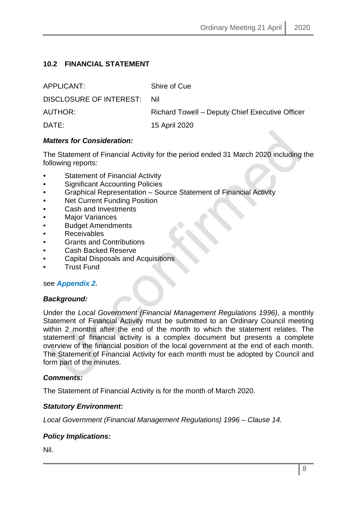# <span id="page-7-0"></span>**10.2 FINANCIAL STATEMENT**

| APPLICANT:                  | Shire of Cue                                    |
|-----------------------------|-------------------------------------------------|
| DISCLOSURE OF INTEREST: Nil |                                                 |
| AUTHOR:                     | Richard Towell - Deputy Chief Executive Officer |
| DATE:                       | 15 April 2020                                   |

### *Matters for Consideration:*

The Statement of Financial Activity for the period ended 31 March 2020 including the following reports:

- Statement of Financial Activity
- Significant Accounting Policies
- Graphical Representation Source Statement of Financial Activity
- **Net Current Funding Position**
- Cash and Investments
- **Major Variances**
- Budget Amendments
- **Receivables**
- Grants and Contributions
- Cash Backed Reserve
- Capital Disposals and Acquisitions
- Trust Fund

#### see *Appendix 2.*

#### *Background:*

Under the *Local Government (Financial Management Regulations 1996)*, a monthly Statement of Financial Activity must be submitted to an Ordinary Council meeting within 2 months after the end of the month to which the statement relates. The statement of financial activity is a complex document but presents a complete overview of the financial position of the local government at the end of each month. The Statement of Financial Activity for each month must be adopted by Council and form part of the minutes.

#### *Comments:*

The Statement of Financial Activity is for the month of March 2020.

# *Statutory Environment:*

*Local Government (Financial Management Regulations) 1996 – Clause 14.*

# *Policy Implications:*

Nil.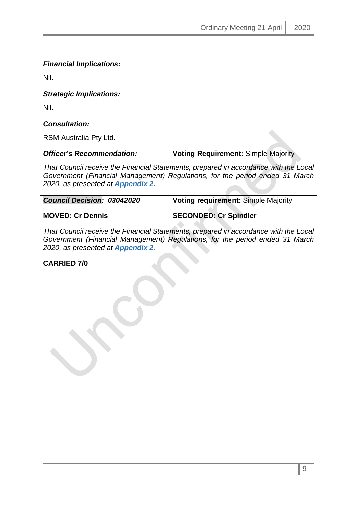# *Financial Implications:*

Nil.

### *Strategic Implications:*

Nil.

# *Consultation:*

RSM Australia Pty Ltd.

### *Officer's Recommendation:* **Voting Requirement:** Simple Majority

*That Council receive the Financial Statements, prepared in accordance with the Local Government (Financial Management) Regulations, for the period ended 31 March 2020, as presented at Appendix 2.*

*Council Decision: 03042020* **Voting requirement:** Simple Majority

**MOVED: Cr Dennis SECONDED: Cr Spindler**

*That Council receive the Financial Statements, prepared in accordance with the Local Government (Financial Management) Regulations, for the period ended 31 March 2020, as presented at Appendix 2.*

# **CARRIED 7/0**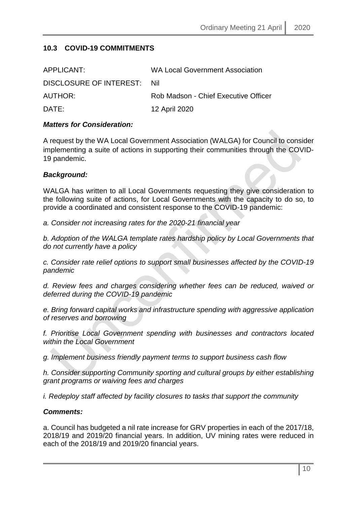# <span id="page-9-0"></span>**10.3 COVID-19 COMMITMENTS**

| APPLICANT:              | <b>WA Local Government Association</b> |
|-------------------------|----------------------------------------|
| DISCLOSURE OF INTEREST: | Nil                                    |
| AUTHOR:                 | Rob Madson - Chief Executive Officer   |
| DATE:                   | 12 April 2020                          |

#### *Matters for Consideration:*

A request by the WA Local Government Association (WALGA) for Council to consider implementing a suite of actions in supporting their communities through the COVID-19 pandemic.

#### *Background:*

WALGA has written to all Local Governments requesting they give consideration to the following suite of actions, for Local Governments with the capacity to do so, to provide a coordinated and consistent response to the COVID-19 pandemic:

*a. Consider not increasing rates for the 2020-21 financial year*

*b. Adoption of the WALGA template rates hardship policy by Local Governments that do not currently have a policy*

*c. Consider rate relief options to support small businesses affected by the COVID-19 pandemic*

*d. Review fees and charges considering whether fees can be reduced, waived or deferred during the COVID-19 pandemic*

*e. Bring forward capital works and infrastructure spending with aggressive application of reserves and borrowing*

*f. Prioritise Local Government spending with businesses and contractors located within the Local Government*

*g. Implement business friendly payment terms to support business cash flow*

*h. Consider supporting Community sporting and cultural groups by either establishing grant programs or waiving fees and charges*

*i. Redeploy staff affected by facility closures to tasks that support the community*

#### *Comments:*

a. Council has budgeted a nil rate increase for GRV properties in each of the 2017/18, 2018/19 and 2019/20 financial years. In addition, UV mining rates were reduced in each of the 2018/19 and 2019/20 financial years.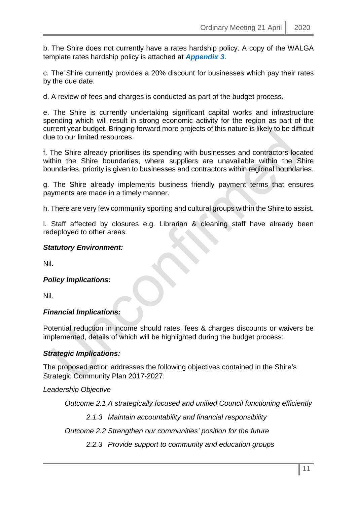b. The Shire does not currently have a rates hardship policy. A copy of the WALGA template rates hardship policy is attached at *Appendix 3*.

c. The Shire currently provides a 20% discount for businesses which pay their rates by the due date.

d. A review of fees and charges is conducted as part of the budget process.

e. The Shire is currently undertaking significant capital works and infrastructure spending which will result in strong economic activity for the region as part of the current year budget. Bringing forward more projects of this nature is likely to be difficult due to our limited resources.

f. The Shire already prioritises its spending with businesses and contractors located within the Shire boundaries, where suppliers are unavailable within the Shire boundaries, priority is given to businesses and contractors within regional boundaries.

g. The Shire already implements business friendly payment terms that ensures payments are made in a timely manner.

h. There are very few community sporting and cultural groups within the Shire to assist.

i. Staff affected by closures e.g. Librarian & cleaning staff have already been redeployed to other areas.

#### *Statutory Environment:*

Nil.

#### *Policy Implications:*

Nil.

#### *Financial Implications:*

Potential reduction in income should rates, fees & charges discounts or waivers be implemented, details of which will be highlighted during the budget process.

#### *Strategic Implications:*

The proposed action addresses the following objectives contained in the Shire's Strategic Community Plan 2017-2027:

*Leadership Objective*

*Outcome 2.1 A strategically focused and unified Council functioning efficiently*

*2.1.3 Maintain accountability and financial responsibility*

*Outcome 2.2 Strengthen our communities' position for the future*

*2.2.3 Provide support to community and education groups*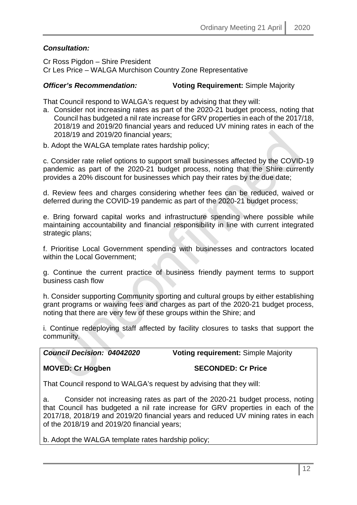# *Consultation:*

Cr Ross Pigdon – Shire President Cr Les Price – WALGA Murchison Country Zone Representative

# *Officer's Recommendation:* **Voting Requirement:** Simple Majority

That Council respond to WALGA's request by advising that they will:

a. Consider not increasing rates as part of the 2020-21 budget process, noting that Council has budgeted a nil rate increase for GRV properties in each of the 2017/18, 2018/19 and 2019/20 financial years and reduced UV mining rates in each of the 2018/19 and 2019/20 financial years;

b. Adopt the WALGA template rates hardship policy;

c. Consider rate relief options to support small businesses affected by the COVID-19 pandemic as part of the 2020-21 budget process, noting that the Shire currently provides a 20% discount for businesses which pay their rates by the due date;

d. Review fees and charges considering whether fees can be reduced, waived or deferred during the COVID-19 pandemic as part of the 2020-21 budget process;

e. Bring forward capital works and infrastructure spending where possible while maintaining accountability and financial responsibility in line with current integrated strategic plans;

f. Prioritise Local Government spending with businesses and contractors located within the Local Government;

g. Continue the current practice of business friendly payment terms to support business cash flow

h. Consider supporting Community sporting and cultural groups by either establishing grant programs or waiving fees and charges as part of the 2020-21 budget process, noting that there are very few of these groups within the Shire; and

i. Continue redeploying staff affected by facility closures to tasks that support the community.

*Council Decision: 04042020* **Voting requirement:** Simple Majority

#### **MOVED: Cr Hogben SECONDED: Cr Price**

That Council respond to WALGA's request by advising that they will:

a. Consider not increasing rates as part of the 2020-21 budget process, noting that Council has budgeted a nil rate increase for GRV properties in each of the 2017/18, 2018/19 and 2019/20 financial years and reduced UV mining rates in each of the 2018/19 and 2019/20 financial years;

b. Adopt the WALGA template rates hardship policy;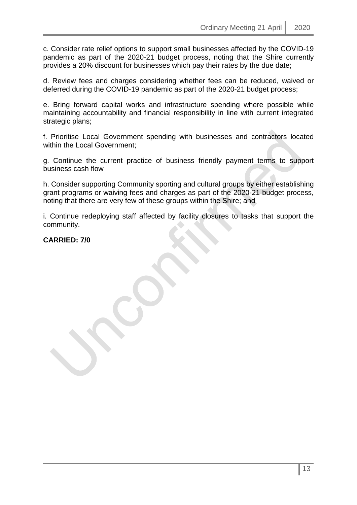c. Consider rate relief options to support small businesses affected by the COVID-19 pandemic as part of the 2020-21 budget process, noting that the Shire currently provides a 20% discount for businesses which pay their rates by the due date;

d. Review fees and charges considering whether fees can be reduced, waived or deferred during the COVID-19 pandemic as part of the 2020-21 budget process;

e. Bring forward capital works and infrastructure spending where possible while maintaining accountability and financial responsibility in line with current integrated strategic plans;

f. Prioritise Local Government spending with businesses and contractors located within the Local Government;

g. Continue the current practice of business friendly payment terms to support business cash flow

h. Consider supporting Community sporting and cultural groups by either establishing grant programs or waiving fees and charges as part of the 2020-21 budget process, noting that there are very few of these groups within the Shire; and

i. Continue redeploying staff affected by facility closures to tasks that support the community.

**CARRIED: 7/0**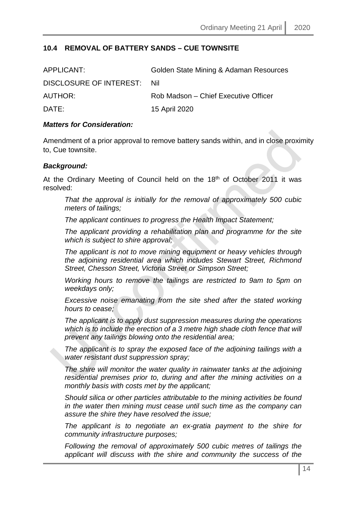### <span id="page-13-0"></span>**10.4 REMOVAL OF BATTERY SANDS – CUE TOWNSITE**

| APPLICANT:                  | Golden State Mining & Adaman Resources |
|-----------------------------|----------------------------------------|
| DISCLOSURE OF INTEREST: Nil |                                        |
| <b>AUTHOR:</b>              | Rob Madson – Chief Executive Officer   |
| DATE:                       | 15 April 2020                          |

#### *Matters for Consideration:*

Amendment of a prior approval to remove battery sands within, and in close proximity to, Cue townsite.

#### *Background:*

At the Ordinary Meeting of Council held on the 18<sup>th</sup> of October 2011 it was resolved:

*That the approval is initially for the removal of approximately 500 cubic meters of tailings;* 

*The applicant continues to progress the Health Impact Statement;* 

*The applicant providing a rehabilitation plan and programme for the site which is subject to shire approval;* 

*The applicant is not to move mining equipment or heavy vehicles through the adjoining residential area which includes Stewart Street, Richmond Street, Chesson Street, Victoria Street or Simpson Street;* 

*Working hours to remove the tailings are restricted to 9am to 5pm on weekdays only;* 

*Excessive noise emanating from the site shed after the stated working hours to cease;* 

*The applicant is to apply dust suppression measures during the operations which is to include the erection of a 3 metre high shade cloth fence that will prevent any tailings blowing onto the residential area;* 

*The applicant is to spray the exposed face of the adjoining tailings with a water resistant dust suppression spray;* 

*The shire will monitor the water quality in rainwater tanks at the adjoining residential premises prior to, during and after the mining activities on a monthly basis with costs met by the applicant;* 

*Should silica or other particles attributable to the mining activities be found in the water then mining must cease until such time as the company can assure the shire they have resolved the issue;* 

*The applicant is to negotiate an ex-gratia payment to the shire for community infrastructure purposes;* 

*Following the removal of approximately 500 cubic metres of tailings the applicant will discuss with the shire and community the success of the*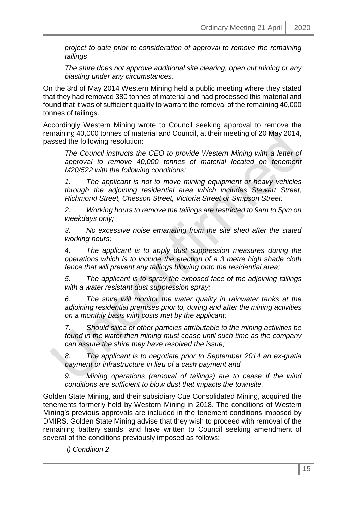*project to date prior to consideration of approval to remove the remaining tailings* 

*The shire does not approve additional site clearing, open cut mining or any blasting under any circumstances.*

On the 3rd of May 2014 Western Mining held a public meeting where they stated that they had removed 380 tonnes of material and had processed this material and found that it was of sufficient quality to warrant the removal of the remaining 40,000 tonnes of tailings.

Accordingly Western Mining wrote to Council seeking approval to remove the remaining 40,000 tonnes of material and Council, at their meeting of 20 May 2014, passed the following resolution:

*The Council instructs the CEO to provide Western Mining with a letter of approval to remove 40,000 tonnes of material located on tenement M20/522 with the following conditions:*

*1. The applicant is not to move mining equipment or heavy vehicles through the adjoining residential area which includes Stewart Street, Richmond Street, Chesson Street, Victoria Street or Simpson Street;* 

*2. Working hours to remove the tailings are restricted to 9am to 5pm on weekdays only;* 

*3. No excessive noise emanating from the site shed after the stated working hours;*

*4. The applicant is to apply dust suppression measures during the operations which is to include the erection of a 3 metre high shade cloth fence that will prevent any tailings blowing onto the residential area;* 

*5. The applicant is to spray the exposed face of the adjoining tailings with a water resistant dust suppression spray;* 

*6. The shire will monitor the water quality in rainwater tanks at the adjoining residential premises prior to, during and after the mining activities on a monthly basis with costs met by the applicant;* 

*7. Should silica or other particles attributable to the mining activities be found in the water then mining must cease until such time as the company can assure the shire they have resolved the issue;* 

*8. The applicant is to negotiate prior to September 2014 an ex-gratia payment or infrastructure in lieu of a cash payment and* 

*9. Mining operations (removal of tailings) are to cease if the wind conditions are sufficient to blow dust that impacts the townsite.*

Golden State Mining, and their subsidiary Cue Consolidated Mining, acquired the tenements formerly held by Western Mining in 2018. The conditions of Western Mining's previous approvals are included in the tenement conditions imposed by DMIRS. Golden State Mining advise that they wish to proceed with removal of the remaining battery sands, and have written to Council seeking amendment of several of the conditions previously imposed as follows:

*i) Condition 2*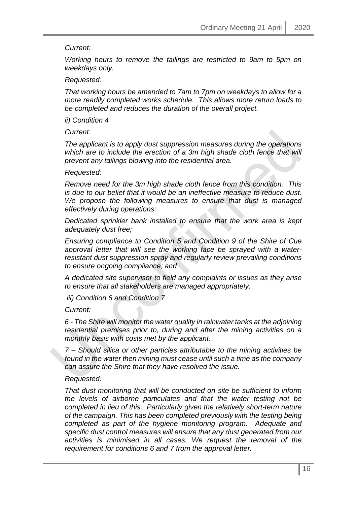#### *Current:*

*Working hours to remove the tailings are restricted to 9am to 5pm on weekdays only.* 

#### *Requested:*

*That working hours be amended to 7am to 7pm on weekdays to allow for a more readily completed works schedule. This allows more return loads to be completed and reduces the duration of the overall project.* 

*ii) Condition 4* 

*Current:* 

*The applicant is to apply dust suppression measures during the operations*  which are to include the erection of a 3m high shade cloth fence that will *prevent any tailings blowing into the residential area.* 

#### *Requested:*

*Remove need for the 3m high shade cloth fence from this condition. This is due to our belief that it would be an ineffective measure to reduce dust. We propose the following measures to ensure that dust is managed effectively during operations:* 

*Dedicated sprinkler bank installed to ensure that the work area is kept adequately dust free;* 

*Ensuring compliance to Condition 5 and Condition 9 of the Shire of Cue approval letter that will see the working face be sprayed with a waterresistant dust suppression spray and regularly review prevailing conditions to ensure ongoing compliance; and* 

*A dedicated site supervisor to field any complaints or issues as they arise to ensure that all stakeholders are managed appropriately.* 

*iii) Condition 6 and Condition 7* 

*Current:* 

*6 - The Shire will monitor the water quality in rainwater tanks at the adjoining residential premises prior to, during and after the mining activities on a monthly basis with costs met by the applicant.* 

*7 – Should silica or other particles attributable to the mining activities be found in the water then mining must cease until such a time as the company can assure the Shire that they have resolved the issue.* 

#### *Requested:*

*That dust monitoring that will be conducted on site be sufficient to inform the levels of airborne particulates and that the water testing not be completed in lieu of this. Particularly given the relatively short-term nature of the campaign. This has been completed previously with the testing being completed as part of the hygiene monitoring program. Adequate and specific dust control measures will ensure that any dust generated from our activities is minimised in all cases. We request the removal of the requirement for conditions 6 and 7 from the approval letter.*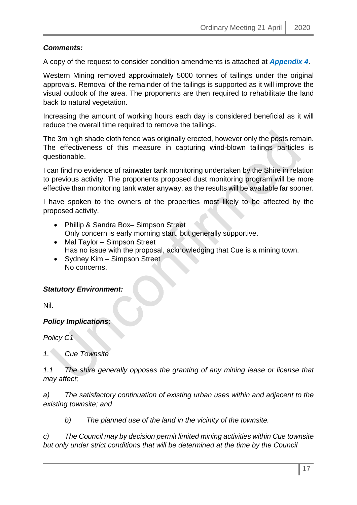# *Comments:*

A copy of the request to consider condition amendments is attached at *Appendix 4*.

Western Mining removed approximately 5000 tonnes of tailings under the original approvals. Removal of the remainder of the tailings is supported as it will improve the visual outlook of the area. The proponents are then required to rehabilitate the land back to natural vegetation.

Increasing the amount of working hours each day is considered beneficial as it will reduce the overall time required to remove the tailings.

The 3m high shade cloth fence was originally erected, however only the posts remain. The effectiveness of this measure in capturing wind-blown tailings particles is questionable.

I can find no evidence of rainwater tank monitoring undertaken by the Shire in relation to previous activity. The proponents proposed dust monitoring program will be more effective than monitoring tank water anyway, as the results will be available far sooner.

I have spoken to the owners of the properties most likely to be affected by the proposed activity.

- Phillip & Sandra Box– Simpson Street Only concern is early morning start, but generally supportive.
- Mal Taylor Simpson Street Has no issue with the proposal, acknowledging that Cue is a mining town.
- Sydney Kim Simpson Street No concerns.

# *Statutory Environment:*

Nil.

# *Policy Implications:*

*Policy C1*

*1. Cue Townsite*

*1.1 The shire generally opposes the granting of any mining lease or license that may affect;*

*a) The satisfactory continuation of existing urban uses within and adjacent to the existing townsite; and*

*b) The planned use of the land in the vicinity of the townsite.* 

*c) The Council may by decision permit limited mining activities within Cue townsite but only under strict conditions that will be determined at the time by the Council*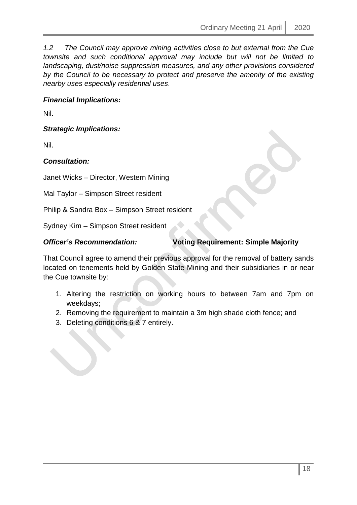*1.2 The Council may approve mining activities close to but external from the Cue townsite and such conditional approval may include but will not be limited to landscaping, dust/noise suppression measures, and any other provisions considered by the Council to be necessary to protect and preserve the amenity of the existing nearby uses especially residential uses*.

### *Financial Implications:*

Nil.

*Strategic Implications:*

Nil.

#### *Consultation:*

Janet Wicks – Director, Western Mining

Mal Taylor – Simpson Street resident

Philip & Sandra Box – Simpson Street resident

Sydney Kim – Simpson Street resident

### *Officer's Recommendation:* **Voting Requirement: Simple Majority**

That Council agree to amend their previous approval for the removal of battery sands located on tenements held by Golden State Mining and their subsidiaries in or near the Cue townsite by:

- 1. Altering the restriction on working hours to between 7am and 7pm on weekdays;
- 2. Removing the requirement to maintain a 3m high shade cloth fence; and
- 3. Deleting conditions 6 & 7 entirely.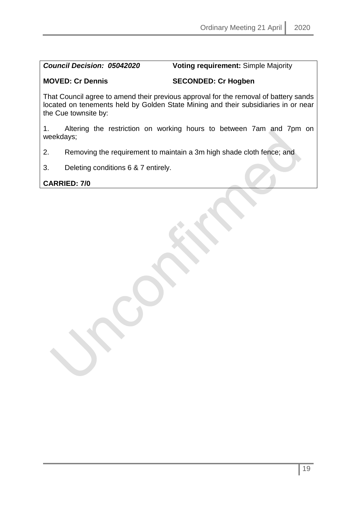*Council Decision: 05042020* **Voting requirement:** Simple Majority

**MOVED: Cr Dennis SECONDED: Cr Hogben**

That Council agree to amend their previous approval for the removal of battery sands located on tenements held by Golden State Mining and their subsidiaries in or near the Cue townsite by:

1. Altering the restriction on working hours to between 7am and 7pm on weekdays;

2. Removing the requirement to maintain a 3m high shade cloth fence; and

3. Deleting conditions 6 & 7 entirely.

**CARRIED: 7/0**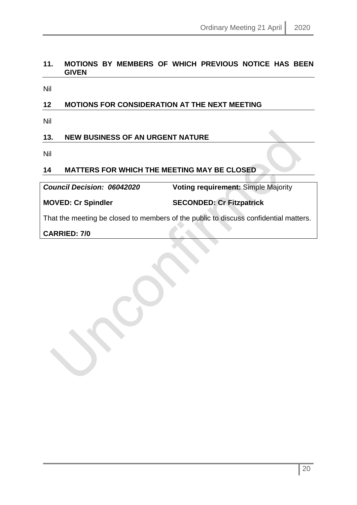# <span id="page-19-0"></span>**11. MOTIONS BY MEMBERS OF WHICH PREVIOUS NOTICE HAS BEEN GIVEN**

Nil

# <span id="page-19-1"></span>**12 MOTIONS FOR CONSIDERATION AT THE NEXT MEETING**

Nil

# <span id="page-19-2"></span>**13. NEW BUSINESS OF AN URGENT NATURE**

Nil

# <span id="page-19-3"></span>**14 MATTERS FOR WHICH THE MEETING MAY BE CLOSED**

*Council Decision: 06042020* **Voting requirement:** Simple Majority

**MOVED: Cr Spindler SECONDED: Cr Fitzpatrick**

That the meeting be closed to members of the public to discuss confidential matters.

**CARRIED: 7/0**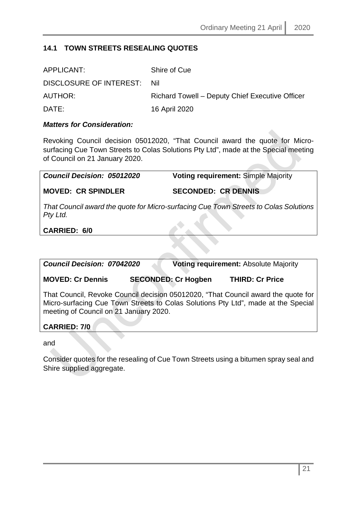# <span id="page-20-0"></span>**14.1 TOWN STREETS RESEALING QUOTES**

| APPLICANT:                  | Shire of Cue                                    |
|-----------------------------|-------------------------------------------------|
| DISCLOSURE OF INTEREST: Nil |                                                 |
| AUTHOR:                     | Richard Towell - Deputy Chief Executive Officer |
| DATE:                       | 16 April 2020                                   |

#### *Matters for Consideration:*

Revoking Council decision 05012020, "That Council award the quote for Microsurfacing Cue Town Streets to Colas Solutions Pty Ltd", made at the Special meeting of Council on 21 January 2020.

*Council Decision: 05012020* **Voting requirement:** Simple Majority **MOVED: CR SPINDLER SECONDED: CR DENNIS** *That Council award the quote for Micro-surfacing Cue Town Streets to Colas Solutions Pty Ltd.*

**CARRIED: 6/0**

| <b>Council Decision: 07042020</b>                                                                                                                                                                                |                            | <b>Voting requirement: Absolute Majority</b> |  |
|------------------------------------------------------------------------------------------------------------------------------------------------------------------------------------------------------------------|----------------------------|----------------------------------------------|--|
| <b>MOVED: Cr Dennis</b>                                                                                                                                                                                          | <b>SECONDED: Cr Hogben</b> | <b>THIRD: Cr Price</b>                       |  |
| That Council, Revoke Council decision 05012020, "That Council award the quote for<br>Micro-surfacing Cue Town Streets to Colas Solutions Pty Ltd", made at the Special<br>meeting of Council on 21 January 2020. |                            |                                              |  |
| <b>CARRIED: 7/0</b>                                                                                                                                                                                              |                            |                                              |  |
|                                                                                                                                                                                                                  |                            |                                              |  |

and

Consider quotes for the resealing of Cue Town Streets using a bitumen spray seal and Shire supplied aggregate.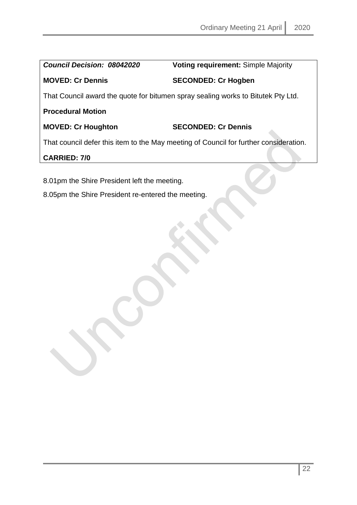*Council Decision: 08042020* **Voting requirement:** Simple Majority

# **MOVED: Cr Dennis SECONDED: Cr Hogben**

That Council award the quote for bitumen spray sealing works to Bitutek Pty Ltd.

# **Procedural Motion**

# **MOVED: Cr Houghton SECONDED: Cr Dennis**

That council defer this item to the May meeting of Council for further consideration.

# **CARRIED: 7/0**

8.01pm the Shire President left the meeting.

8.05pm the Shire President re-entered the meeting.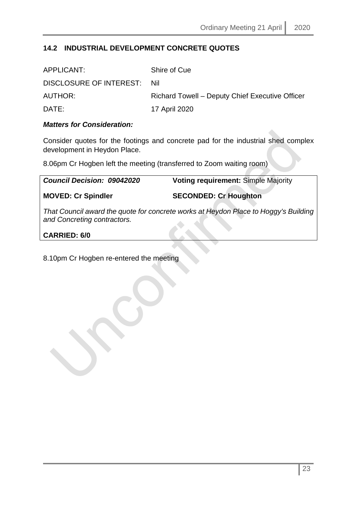# <span id="page-22-0"></span>**14.2 INDUSTRIAL DEVELOPMENT CONCRETE QUOTES**

| APPLICANT:                  | Shire of Cue                                    |
|-----------------------------|-------------------------------------------------|
| DISCLOSURE OF INTEREST: Nil |                                                 |
| AUTHOR:                     | Richard Towell – Deputy Chief Executive Officer |
| DATE:                       | 17 April 2020                                   |

### *Matters for Consideration:*

Consider quotes for the footings and concrete pad for the industrial shed complex development in Heydon Place.

8.06pm Cr Hogben left the meeting (transferred to Zoom waiting room)

| <b>Council Decision: 09042020</b> | <b>Voting requirement: Simple Majority</b> |
|-----------------------------------|--------------------------------------------|
| <b>MOVED: Cr Spindler</b>         | <b>SECONDED: Cr Houghton</b>               |

*That Council award the quote for concrete works at Heydon Place to Hoggy's Building and Concreting contractors.*

### **CARRIED: 6/0**

# 8.10pm Cr Hogben re-entered the meeting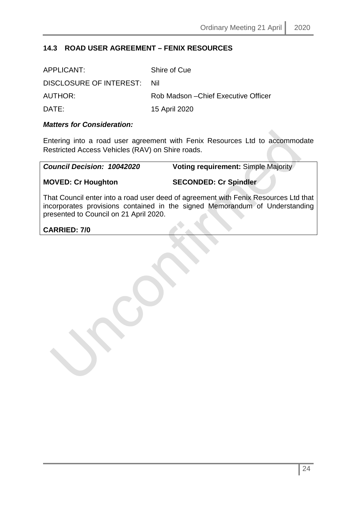# <span id="page-23-0"></span>**14.3 ROAD USER AGREEMENT – FENIX RESOURCES**

| APPLICANT:              | Shire of Cue                         |
|-------------------------|--------------------------------------|
| DISCLOSURE OF INTEREST: | - Nil                                |
| AUTHOR:                 | Rob Madson – Chief Executive Officer |
| DATE:                   | 15 April 2020                        |

### *Matters for Consideration:*

Entering into a road user agreement with Fenix Resources Ltd to accommodate Restricted Access Vehicles (RAV) on Shire roads.

*Council Decision: 10042020* **Voting requirement:** Simple Majority

**MOVED: Cr Houghton SECONDED: Cr Spindler**

That Council enter into a road user deed of agreement with Fenix Resources Ltd that incorporates provisions contained in the signed Memorandum of Understanding presented to Council on 21 April 2020.

**CARRIED: 7/0**